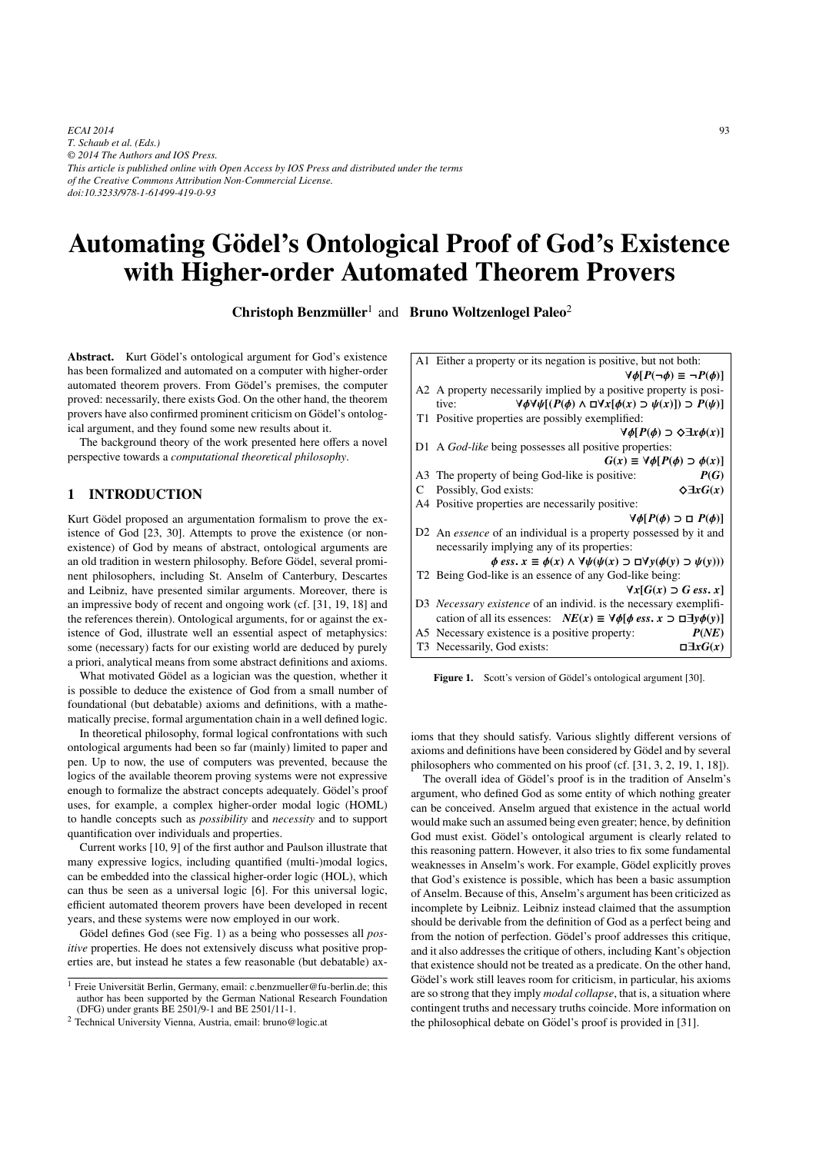*ECAI 2014 T. Schaub et al. (Eds.) © 2014 The Authors and IOS Press. This article is published online with Open Access by IOS Press and distributed under the terms of the Creative Commons Attribution Non-Commercial License. doi:10.3233/978-1-61499-419-0-93*

# Automating Gödel's Ontological Proof of God's Existence with Higher-order Automated Theorem Provers

Christoph Benzmüller<sup>1</sup> and Bruno Woltzenlogel Paleo<sup>2</sup>

Abstract. Kurt Gödel's ontological argument for God's existence has been formalized and automated on a computer with higher-order automated theorem provers. From Gödel's premises, the computer proved: necessarily, there exists God. On the other hand, the theorem provers have also confirmed prominent criticism on Gödel's ontological argument, and they found some new results about it.

The background theory of the work presented here offers a novel perspective towards a *computational theoretical philosophy*.

# 1 INTRODUCTION

Kurt Gödel proposed an argumentation formalism to prove the existence of God [23, 30]. Attempts to prove the existence (or nonexistence) of God by means of abstract, ontological arguments are an old tradition in western philosophy. Before Gödel, several prominent philosophers, including St. Anselm of Canterbury, Descartes and Leibniz, have presented similar arguments. Moreover, there is an impressive body of recent and ongoing work (cf. [31, 19, 18] and the references therein). Ontological arguments, for or against the existence of God, illustrate well an essential aspect of metaphysics: some (necessary) facts for our existing world are deduced by purely a priori, analytical means from some abstract definitions and axioms.

What motivated Gödel as a logician was the question, whether it is possible to deduce the existence of God from a small number of foundational (but debatable) axioms and definitions, with a mathematically precise, formal argumentation chain in a well defined logic.

In theoretical philosophy, formal logical confrontations with such ontological arguments had been so far (mainly) limited to paper and pen. Up to now, the use of computers was prevented, because the logics of the available theorem proving systems were not expressive enough to formalize the abstract concepts adequately. Gödel's proof uses, for example, a complex higher-order modal logic (HOML) to handle concepts such as *possibility* and *necessity* and to support quantification over individuals and properties.

Current works [10, 9] of the first author and Paulson illustrate that many expressive logics, including quantified (multi-)modal logics, can be embedded into the classical higher-order logic (HOL), which can thus be seen as a universal logic [6]. For this universal logic, efficient automated theorem provers have been developed in recent years, and these systems were now employed in our work.

Gödel defines God (see Fig. 1) as a being who possesses all *positive* properties. He does not extensively discuss what positive properties are, but instead he states a few reasonable (but debatable) ax-

|   | A1 Either a property or its negation is positive, but not both:                                                 |  |  |  |  |  |  |
|---|-----------------------------------------------------------------------------------------------------------------|--|--|--|--|--|--|
|   | $\forall \phi [P(\neg \phi) \equiv \neg P(\phi)]$                                                               |  |  |  |  |  |  |
|   | A2 A property necessarily implied by a positive property is posi-                                               |  |  |  |  |  |  |
|   | $\forall \phi \forall \psi [(P(\phi) \land \Box \forall x [\phi(x) \supset \psi(x)]) \supset P(\psi)]$<br>tive: |  |  |  |  |  |  |
|   | T1 Positive properties are possibly exemplified:                                                                |  |  |  |  |  |  |
|   | $\forall \phi [P(\phi) \supset \Diamond \exists x \phi(x)]$                                                     |  |  |  |  |  |  |
|   | D1 A <i>God-like</i> being possesses all positive properties:                                                   |  |  |  |  |  |  |
|   | $G(x) \equiv \forall \phi [P(\phi) \supset \phi(x)]$                                                            |  |  |  |  |  |  |
|   | A3 The property of being God-like is positive:<br>P(G)                                                          |  |  |  |  |  |  |
| C | $\Diamond \exists x G(x)$<br>Possibly, God exists:                                                              |  |  |  |  |  |  |
|   | A4 Positive properties are necessarily positive:                                                                |  |  |  |  |  |  |
|   | $\forall \phi[P(\phi) \supset \Box P(\phi)]$                                                                    |  |  |  |  |  |  |
|   | D <sub>2</sub> An <i>essence</i> of an individual is a property possessed by it and                             |  |  |  |  |  |  |
|   | necessarily implying any of its properties:                                                                     |  |  |  |  |  |  |
|   | $\phi$ ess, $x \equiv \phi(x) \land \forall \psi(\psi(x) \supset \Box \forall y(\phi(y) \supset \psi(y)))$      |  |  |  |  |  |  |
|   | T2 Being God-like is an essence of any God-like being:                                                          |  |  |  |  |  |  |
|   | $\forall x [G(x) \supset G \text{ ess. } x]$                                                                    |  |  |  |  |  |  |
|   | D3 Necessary existence of an individ. is the necessary exemplifi-                                               |  |  |  |  |  |  |
|   | cation of all its essences: $NE(x) \equiv \forall \phi[\phi \text{ ess. } x] \supseteq \exists y \phi(y)$       |  |  |  |  |  |  |
|   | A5 Necessary existence is a positive property:<br>P(NE)                                                         |  |  |  |  |  |  |
|   | T <sub>3</sub> Necessarily, God exists:<br>$\Box \exists x G(x)$                                                |  |  |  |  |  |  |
|   |                                                                                                                 |  |  |  |  |  |  |

Figure 1. Scott's version of Gödel's ontological argument [30].

ioms that they should satisfy. Various slightly different versions of axioms and definitions have been considered by Gödel and by several philosophers who commented on his proof (cf. [31, 3, 2, 19, 1, 18]).

The overall idea of Gödel's proof is in the tradition of Anselm's argument, who defined God as some entity of which nothing greater can be conceived. Anselm argued that existence in the actual world would make such an assumed being even greater; hence, by definition God must exist. Gödel's ontological argument is clearly related to this reasoning pattern. However, it also tries to fix some fundamental weaknesses in Anselm's work. For example, Gödel explicitly proves that God's existence is possible, which has been a basic assumption of Anselm. Because of this, Anselm's argument has been criticized as incomplete by Leibniz. Leibniz instead claimed that the assumption should be derivable from the definition of God as a perfect being and from the notion of perfection. Gödel's proof addresses this critique, and it also addresses the critique of others, including Kant's objection that existence should not be treated as a predicate. On the other hand, Gödel's work still leaves room for criticism, in particular, his axioms are so strong that they imply *modal collapse*, that is, a situation where contingent truths and necessary truths coincide. More information on the philosophical debate on Gödel's proof is provided in [31].

<sup>&</sup>lt;sup>1</sup> Freie Universität Berlin, Germany, email: c.benzmueller@fu-berlin.de; this author has been supported by the German National Research Foundation (DFG) under grants BE 2501/9-1 and BE 2501/11-1.

<sup>2</sup> Technical University Vienna, Austria, email: bruno@logic.at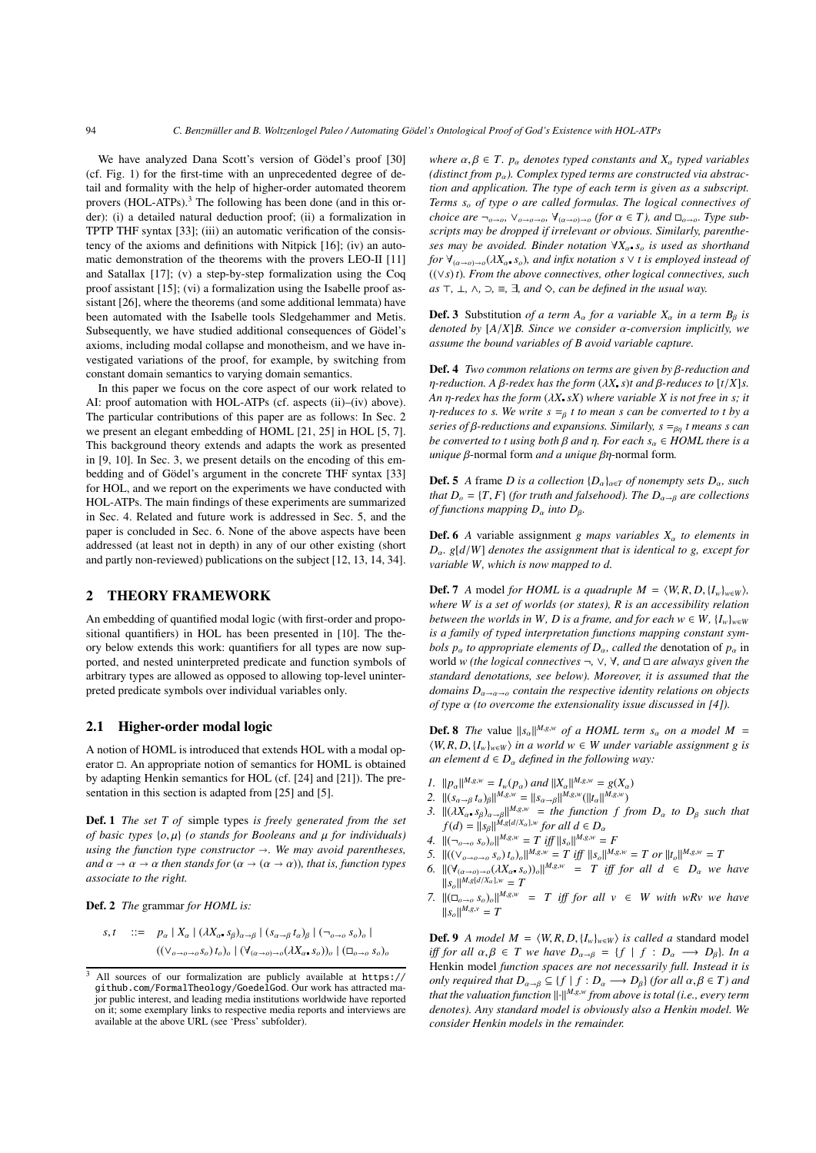We have analyzed Dana Scott's version of Gödel's proof [30] (cf. Fig. 1) for the first-time with an unprecedented degree of detail and formality with the help of higher-order automated theorem provers (HOL-ATPs).<sup>3</sup> The following has been done (and in this order): (i) a detailed natural deduction proof; (ii) a formalization in TPTP THF syntax [33]; (iii) an automatic verification of the consistency of the axioms and definitions with Nitpick [16]; (iv) an automatic demonstration of the theorems with the provers LEO-II [11] and Satallax [17]; (v) a step-by-step formalization using the Coq proof assistant [15]; (vi) a formalization using the Isabelle proof assistant [26], where the theorems (and some additional lemmata) have been automated with the Isabelle tools Sledgehammer and Metis. Subsequently, we have studied additional consequences of Gödel's axioms, including modal collapse and monotheism, and we have investigated variations of the proof, for example, by switching from constant domain semantics to varying domain semantics.

In this paper we focus on the core aspect of our work related to AI: proof automation with HOL-ATPs (cf. aspects (ii)–(iv) above). The particular contributions of this paper are as follows: In Sec. 2 we present an elegant embedding of HOML [21, 25] in HOL [5, 7]. This background theory extends and adapts the work as presented in [9, 10]. In Sec. 3, we present details on the encoding of this embedding and of Gödel's argument in the concrete THF syntax [33] for HOL, and we report on the experiments we have conducted with HOL-ATPs. The main findings of these experiments are summarized in Sec. 4. Related and future work is addressed in Sec. 5, and the paper is concluded in Sec. 6. None of the above aspects have been addressed (at least not in depth) in any of our other existing (short and partly non-reviewed) publications on the subject [12, 13, 14, 34].

## 2 THEORY FRAMEWORK

An embedding of quantified modal logic (with first-order and propositional quantifiers) in HOL has been presented in [10]. The theory below extends this work: quantifiers for all types are now supported, and nested uninterpreted predicate and function symbols of arbitrary types are allowed as opposed to allowing top-level uninterpreted predicate symbols over individual variables only.

### 2.1 Higher-order modal logic

A notion of HOML is introduced that extends HOL with a modal operator  $\Box$ . An appropriate notion of semantics for HOML is obtained by adapting Henkin semantics for HOL (cf. [24] and [21]). The presentation in this section is adapted from [25] and [5].

Def. 1 *The set T of* simple types *is freely generated from the set of basic types* {*o*, µ} *(o stands for Booleans and* µ *for individuals) using the function type constructor*  $\rightarrow$ . We may avoid parentheses, *and*  $\alpha \to \alpha \to \alpha$  *then stands for*  $(\alpha \to (\alpha \to \alpha))$ *, that is, function types associate to the right.*

Def. 2 *The* grammar *for HOML is:*

$$
s, t \quad ::= \quad p_{\alpha} \mid X_{\alpha} \mid (\lambda X_{\alpha} \cdot s_{\beta})_{\alpha \to \beta} \mid (s_{\alpha \to \beta} t_{\alpha})_{\beta} \mid (\neg_{\alpha \to \alpha} s_{\alpha})_{\alpha} \mid
$$

$$
((\vee_{\alpha \to \alpha \to \alpha} s_{\alpha}) t_{\alpha})_{\alpha} \mid (\forall_{(\alpha \to \alpha) \to \alpha} (\lambda X_{\alpha} \cdot s_{\alpha}))_{\alpha} \mid (\Box_{\alpha \to \alpha} s_{\alpha})_{\alpha}
$$

*where*  $\alpha, \beta \in T$ .  $p_{\alpha}$  *denotes typed constants and*  $X_{\alpha}$  *typed variables* (distinct from  $p_\alpha$ ). Complex typed terms are constructed via abstrac*tion and application. The type of each term is given as a subscript. Terms so of type o are called formulas. The logical connectives of choice are*  $\neg_{o\to o}$ ,  $\vee_{o\to o\to o}$ ,  $\forall_{(a\to o)\to o}$  (for  $\alpha \in T$ ), and  $\Box_{o\to o}$ . Type sub*scripts may be dropped if irrelevant or obvious. Similarly, parentheses may be avoided. Binder notation* ∀*X*<sup>α</sup> *so is used as shorthand for*  $\forall_{(\alpha \to 0) \to 0} (\lambda X_{\alpha}, s_{\alpha})$ *, and infix notation s*  $\lor$  *t is employed instead of* ((∨*s*) *t*)*. From the above connectives, other logical connectives, such as* ⊤*,* ⊥*,* ∧*,* ⊃*,* ≡*,* ∃*, and* !*, can be defined in the usual way.*

**Def. 3** Substitution *of a term A<sub>α</sub> for a variable X<sub>α</sub> in a term B<sub>β</sub> is denoted by* [*A*/*X*]*B. Since we consider* α*-conversion implicitly, we assume the bound variables of B avoid variable capture.*

Def. 4 *Two common relations on terms are given by* β*-reduction and* η*-reduction. A* β*-redex has the form* (λ*X s*)*t and* β*-reduces to* [*t*/*X*]*s. An* η*-redex has the form* (λ*X sX*) *where variable X is not free in s; it η-reduces to s. We write*  $s =_\beta t$  *to mean s can be converted to t by a series of*  $\beta$ -reductions and expansions. Similarly,  $s =_{\beta n} t$  means s can *be converted to t using both* β *and* η*. For each s*<sup>α</sup> ∈ *HOML there is a unique* β-normal form *and a unique* βη-normal form*.*

**Def. 5** *A* frame *D* is a collection  $\{D_{\alpha}\}_{{\alpha}\in T}$  of nonempty sets  $D_{\alpha}$ , such *that*  $D_0 = \{T, F\}$  *(for truth and falsehood). The*  $D_{\alpha \rightarrow \beta}$  *are collections of functions mapping*  $D_α$  *into*  $D_β$ *.* 

**Def. 6** *A* variable assignment *g maps variables*  $X_\alpha$  *to elements in D*α*. g*[*d*/*W*] *denotes the assignment that is identical to g, except for variable W, which is now mapped to d.*

**Def.** 7 *A* model *for HOML is a quadruple*  $M = \langle W, R, D, \{I_w\}_{w \in W} \rangle$ *, where W is a set of worlds (or states), R is an accessibility relation between the worlds in W, D is a frame, and for each*  $w \in W$ *,*  $\{I_w\}_{w \in W}$ *is a family of typed interpretation functions mapping constant symbols p<sub>α</sub> to appropriate elements of*  $D_\alpha$ *, called the denotation of*  $p_\alpha$  *in* world *w (the logical connectives* ¬*,* ∨*,* ∀*, and* ! *are always given the standard denotations, see below). Moreover, it is assumed that the domains*  $D_{\alpha\rightarrow\alpha\rightarrow\alpha}$  *contain the respective identity relations on objects of type* α *(to overcome the extensionality issue discussed in [4]).*

**Def. 8** *The* value  $||s_{\alpha}||^{M,g,w}$  *of a HOML term s<sub>α</sub> <i>on a model M* =  $\langle W, R, D, \{I_w\}_{w \in W}$  *in a world*  $w \in W$  *under variable assignment g is an element*  $d \in D_\alpha$  *defined in the following way:* 

- *1.*  $||p_{\alpha}||^{M,g,w} = I_w(p_{\alpha})$  *and*  $||X_{\alpha}||^{M,g,w} = g(X_{\alpha})$
- *2.*  $||(s_{\alpha \to \beta} t_{\alpha})_{\beta}||^{M_{,g},w} = ||s_{\alpha \to \beta}||^{M_{,g},w} (||t_{\alpha}||^{M_{,g},w})$
- *3.*  $||(\lambda X_{\alpha}, s_{\beta})_{\alpha \to \beta}||^{M_{\mathcal{S},W}} =$  *the function f from D<sub>a</sub> to D<sub>β</sub> such that*  $f(d) = ||s_{\beta}||^{M}$ ,*g*[*d*/*X*<sub>α</sub>],*w for all d*  $\in$  *D*<sub>α</sub>
- *4.*  $\|(-\partial_{\partial \to 0} S_{\partial})_o\|^{M,g,w} = T \; \hat{i} f f \|s_o\|^{M,g,w} = F$
- *5.*  $||(((\vee_{o\to o\to o} s_o)t_o)_t||^{M,g,w} = T$  *iff*  $||s_o||^{M,g,w} = T$  *or*  $||t_o||^{M,g,w} = T$
- *6.*  $\|(\forall_{(a\rightarrow o)\rightarrow o}(\lambda X_{a}, s_{o}))_{o}\|^{M,g,w} = T$  *iff for all d*  $\in D_{\alpha}$  *we have* ∥*so*∥*<sup>M</sup>*,*g*[*d*/*X*α],*<sup>w</sup>* = *T*
- *7.*  $\left\| \left( \Box_{\rho \to \rho} s_{\rho} \right)_{0} \right\|^{M_{\mathcal{S}}, w} = T$  *iff for all v* ∈ *W with wRv we have* ∥*so*∥*<sup>M</sup>*,*g*,*<sup>v</sup>* = *T*

Def. 9 *A model M* =  $\langle W, R, D, \{I_w\}_{w \in W}$  *is called a* standard model *i*ff for all  $\alpha, \beta \in T$  we have  $D_{\alpha \to \beta} = \{f \mid f : D_{\alpha} \longrightarrow D_{\beta}\}\)$ . In a Henkin model *function spaces are not necessarily full. Instead it is only required that*  $D_{\alpha \to \beta} \subseteq \{f \mid f : D_{\alpha} \longrightarrow D_{\beta}\}$  (for all  $\alpha, \beta \in T$ ) and *that the valuation function* ∥·∥*<sup>M</sup>*,*g*,*<sup>w</sup> from above is total (i.e., every term denotes). Any standard model is obviously also a Henkin model. We consider Henkin models in the remainder.*

<sup>&</sup>lt;sup>3</sup> All sources of our formalization are publicly available at https:// github.com/FormalTheology/GoedelGod. Our work has attracted major public interest, and leading media institutions worldwide have reported on it; some exemplary links to respective media reports and interviews are available at the above URL (see 'Press' subfolder).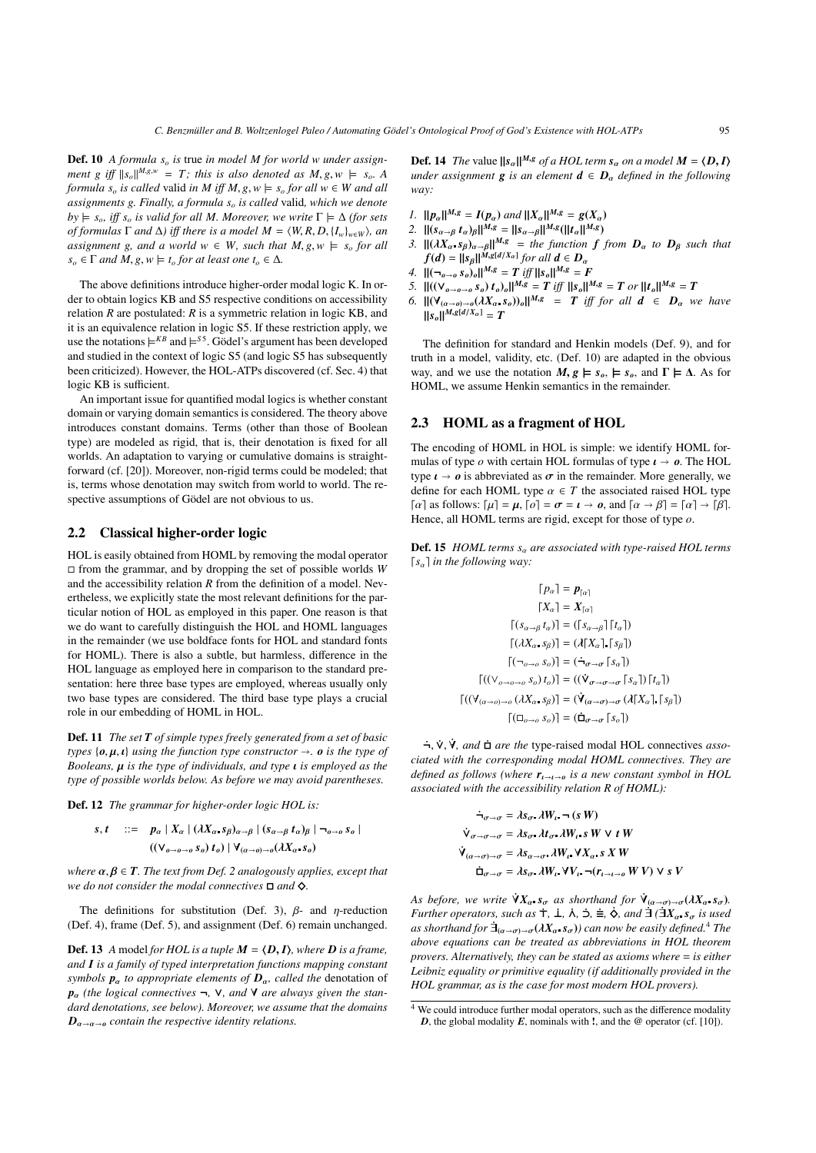**Def. 10** *A formula s<sub>o</sub> is true in model M for world w under assignment g iff*  $||s_o||^{M,g,w} = T$ ; this is also denoted as  $M, g, w \models s_o$ . A *formula s<sub>o</sub> is called* valid *in M iff M, g, w*  $\models$  *s<sub>o</sub> for all w*  $\in$  *W and all assignments g. Finally, a formula s<sub>o</sub> is called valid, which we denote by*  $\models$  *s<sub>o</sub>*, *iff s<sub>o</sub> is valid for all M. Moreover, we write*  $\Gamma \models \Delta$  *(for sets*) *of formulas*  $\Gamma$  *and*  $\Delta$ *) iff there is a model*  $M = \langle W, R, D, \{I_w\}_{w \in W} \rangle$ *, an assignment g, and a world*  $w \in W$ *, such that*  $M, g, w \models s_o$  *for all*  $s_o \in \Gamma$  *and*  $M, g, w \models t_o$  *for at least one*  $t_o \in \Delta$ *.* 

The above definitions introduce higher-order modal logic K. In order to obtain logics KB and S5 respective conditions on accessibility relation *R* are postulated: *R* is a symmetric relation in logic KB, and it is an equivalence relation in logic S5. If these restriction apply, we use the notations  $\models^{KB}$  and  $\models^{S5}$ . Gödel's argument has been developed and studied in the context of logic S5 (and logic S5 has subsequently been criticized). However, the HOL-ATPs discovered (cf. Sec. 4) that logic KB is sufficient.

An important issue for quantified modal logics is whether constant domain or varying domain semantics is considered. The theory above introduces constant domains. Terms (other than those of Boolean type) are modeled as rigid, that is, their denotation is fixed for all worlds. An adaptation to varying or cumulative domains is straightforward (cf. [20]). Moreover, non-rigid terms could be modeled; that is, terms whose denotation may switch from world to world. The respective assumptions of Gödel are not obvious to us.

## 2.2 Classical higher-order logic

HOL is easily obtained from HOML by removing the modal operator  $\Box$  from the grammar, and by dropping the set of possible worlds *W* and the accessibility relation *R* from the definition of a model. Nevertheless, we explicitly state the most relevant definitions for the particular notion of HOL as employed in this paper. One reason is that we do want to carefully distinguish the HOL and HOML languages in the remainder (we use boldface fonts for HOL and standard fonts for HOML). There is also a subtle, but harmless, difference in the HOL language as employed here in comparison to the standard presentation: here three base types are employed, whereas usually only two base types are considered. The third base type plays a crucial role in our embedding of HOML in HOL.

Def. 11 *The set T of simple types freely generated from a set of basic types*  $\{o, \mu, \iota\}$  *using the function type constructor*  $\rightarrow$  *. o is the type of Booleans,* µ *is the type of individuals, and type* ι *is employed as the type of possible worlds below. As before we may avoid parentheses.*

Def. 12 *The grammar for higher-order logic HOL is:*

 $s, t$  ::=  $p_{\alpha} | X_{\alpha} | (\lambda X_{\alpha} \cdot s_{\beta})_{\alpha \to \beta} | (s_{\alpha \to \beta} t_{\alpha})_{\beta} | \neg_{\theta \to \theta} s_{\theta} |$  $((\vee_{\rho\rightarrow\rho\rightarrow\rho}g_{\rho})t_{\rho})\mid \forall_{(\alpha\rightarrow\theta)\rightarrow\rho}(\lambda X_{\alpha}\cdot s_{\rho})$ 

*where*  $\alpha, \beta \in T$ *. The text from Def. 2 analogously applies, except that we do not consider the modal connectives*  $\Box$  *and*  $\Diamond$ *.* 

The definitions for substitution (Def. 3),  $\beta$ - and  $\eta$ -reduction (Def. 4), frame (Def. 5), and assignment (Def. 6) remain unchanged.

**Def. 13** *A* model *for HOL is a tuple*  $M = \langle D, I \rangle$ *, where D is a frame, and I is a family of typed interpretation functions mapping constant symbols*  $p_\alpha$  *to appropriate elements of*  $D_\alpha$ *, called the denotation of p*<sup>α</sup> *(the logical connectives* ¬*,* ∨*, and* ∀ *are always given the standard denotations, see below). Moreover, we assume that the domains*  $D_{\alpha\rightarrow\alpha\rightarrow\alpha}$  *contain the respective identity relations.* 

**Def.** 14 *The* value  $||s_{\alpha}||^{M,g}$  *of a HOL term*  $s_{\alpha}$  *on a model*  $M = \langle D, I \rangle$ *under assignment* **g** *is an element*  $d \in D_\alpha$  *defined in the following way:*

- *1.*  $||p_{\alpha}||^{M,g} = I(p_{\alpha})$  *and*  $||X_{\alpha}||^{M,g} = g(X_{\alpha})$
- 2.  $||(s_{\alpha\to\beta}t_{\alpha})_{\beta}||^{M,g} = ||s_{\alpha\to\beta}||^{M,g} (||t_{\alpha}||^{M,g})$
- *3.*  $\|( \lambda X_{\alpha}, s_{\beta})_{\alpha \to \beta} \|^{M,g} = \text{the function } f \text{ from } D_{\alpha} \text{ to } D_{\beta} \text{ such that}$  $f(d) = ||s_{\beta}||^{M}$ , $g[d/X_{\alpha}]$  *for all*  $d \in D_{\alpha}$
- *4.*  $||(\neg_{\theta \to \theta} s_{\theta})_{\theta}||^{M,g} = T \; \text{iff} \; ||s_{\theta}||^{M,g} = F$
- *5.*  $||(((V_{o\rightarrow o\rightarrow o} s_o) t_o)_o||^{M,g} = T \; \text{iff} \; ||s_o||^{M,g} = T \; \text{or} \; ||t_o||^{M,g} = T$
- *6.*  $||(\forall_{(\alpha\rightarrow o)\rightarrow o}(\lambda X_{\alpha}\cdot s_o))_o||^{M,g} = T$  *iff for all*  $d \in D_{\alpha}$  *we have*  $||s_o||^{M, g[d/X_{\alpha}]} = T$

The definition for standard and Henkin models (Def. 9), and for truth in a model, validity, etc. (Def. 10) are adapted in the obvious way, and we use the notation  $M$ ,  $g \models s_o$ ,  $\models s_o$ , and  $\Gamma \models \Delta$ . As for HOML, we assume Henkin semantics in the remainder.

#### 2.3 HOML as a fragment of HOL

The encoding of HOML in HOL is simple: we identify HOML formulas of type *o* with certain HOL formulas of type  $\mathbf{r} \to \mathbf{0}$ . The HOL type  $\iota \to o$  is abbreviated as  $\sigma$  in the remainder. More generally, we define for each HOML type  $\alpha \in T$  the associated raised HOL type  $[α]$  as follows:  $[μ] = μ$ ,  $[o] = σ = ρ$ , and  $[α \rightarrow β] = [α] \rightarrow [β]$ . Hence, all HOML terms are rigid, except for those of type *o*.

**Def. 15** *HOML terms s<sub>α</sub> are associated with type-raised HOL terms*  $[s_{\alpha}]$  *in the following way:* 

$$
[p_{\alpha}] = \mathbf{p}_{[\alpha]}
$$
  
\n
$$
[X_{\alpha}] = X_{[\alpha]}
$$
  
\n
$$
[(s_{\alpha \to \beta} t_{\alpha})] = ([s_{\alpha \to \beta}] [t_{\alpha}])
$$
  
\n
$$
[(\lambda X_{\alpha} \cdot s_{\beta})] = (\lambda [X_{\alpha}] \cdot [s_{\beta}])
$$
  
\n
$$
[(\neg_{\alpha \to \alpha} s_{\alpha})] = (\neg_{\alpha \to \alpha} [s_{\alpha}])
$$
  
\n
$$
[((v_{\alpha \to \alpha \to \alpha} s_{\alpha}) t_{\alpha})] = ((\dot{V}_{\alpha \to \alpha \to \alpha} [s_{\alpha}]) [t_{\alpha}])
$$
  
\n
$$
[((v_{(\alpha \to \alpha) \to \alpha} (\lambda X_{\alpha} \cdot s_{\beta})] = (\dot{V}_{(\alpha \to \alpha) \to \alpha} (\lambda [X_{\alpha}] \cdot [s_{\beta}])
$$
  
\n
$$
[(\Box_{\alpha \to \alpha} s_{\alpha})] = (\dot{\Box}_{\alpha \to \alpha} [s_{\alpha}])
$$

<sup>¬</sup>˙ ,∨˙ , <sup>∀</sup>˙*, and* !˙ *are the* type-raised modal HOL connectives *associated with the corresponding modal HOML connectives. They are defined as follows (where*  $r_{\iota \to \iota \to o}$  *is a new constant symbol in HOL associated with the accessibility relation R of HOML):*

$$
\begin{aligned}\n\dot{\neg}_{\sigma \to \sigma} &= \lambda s_{\sigma} \cdot \lambda W_{\mu} \cdot (\mathbf{s} \, W) \\
\dot{\mathbf{V}}_{\sigma \to \sigma \to \sigma} &= \lambda s_{\sigma} \cdot \lambda t_{\sigma} \cdot \lambda W_{\mu} \cdot \mathbf{s} \, W \vee t \, W \\
\dot{\mathbf{V}}_{(\alpha \to \sigma) \to \sigma} &= \lambda s_{\alpha \to \sigma} \cdot \lambda W_{\mu} \cdot \mathbf{V} X_{\alpha} \cdot \mathbf{s} \, X \, W \\
\dot{\mathbf{L}}_{\sigma \to \sigma} &= \lambda s_{\sigma} \cdot \lambda W_{\mu} \cdot \mathbf{V} V_{\mu} \cdot (\mathbf{r}_{\ell \to \ell \to \sigma} \, W \, V) \vee \mathbf{s} \, V\n\end{aligned}
$$

*As before, we write*  $\forall X_{\alpha}$  *s<sub>σ</sub> as shorthand for*  $\forall_{(\alpha \to \sigma) \to \sigma} (\lambda X_{\alpha} s_{\sigma})$ *. Further operators, such as*  $\dot{\tau}$ ,  $\dot{\Delta}$ ,  $\dot{\Delta}$ ,  $\dot{\Xi}$ ,  $\dot{\Delta}$ , and  $\dot{\Xi}$  ( $\dot{\Xi}X_{\alpha}$  *s<sub>σ</sub> is used as shorthand for*  $\dot{\mathbf{H}}_{(\alpha \to \sigma) \to \sigma}(\lambda X_{\alpha}, s_{\sigma})$ *) can now be easily defined.*<sup>4</sup> *The above equations can be treated as abbreviations in HOL theorem provers. Alternatively, they can be stated as axioms where* = *is either Leibniz equality or primitive equality (if additionally provided in the HOL grammar, as is the case for most modern HOL provers).*

<sup>4</sup> We could introduce further modal operators, such as the difference modality *D*, the global modality *E*, nominals with **!**, and the  $\omega$  operator (cf. [10]).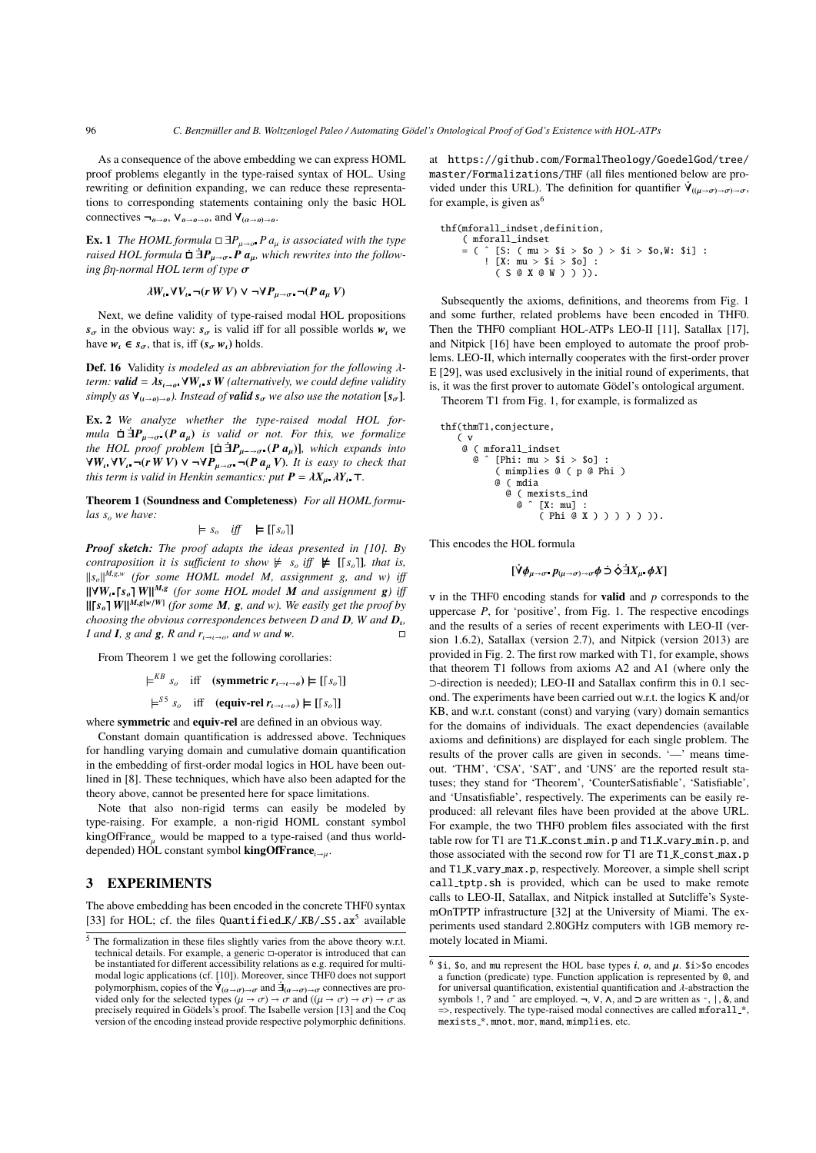As a consequence of the above embedding we can express HOML proof problems elegantly in the type-raised syntax of HOL. Using rewriting or definition expanding, we can reduce these representations to corresponding statements containing only the basic HOL connectives  $\neg_{\theta \to \theta}$ ,  $\vee_{\theta \to \theta \to \theta}$ , and  $\vee_{(\alpha \to \theta) \to \theta}$ .

**Ex. 1** *The HOML formula*  $\Box$  ∃*P*<sub>µ→o</sub> *P*  $a_\mu$  *is associated with the type raised HOL formula*  $\dot{\mathbf{\Box}} \mathbf{\dot{\exists}} P_{\mu \to \sigma}$ . *P*  $a_{\mu}$ *, which rewrites into the following* βη*-normal HOL term of type* σ

$$
\lambda W_{\iota} \ \forall V_{\iota} \ \neg(r \ W \ V) \ \vee \ \neg \forall P_{\mu \to \sigma} \ \neg (P \ a_{\mu} \ V)
$$

Next, we define validity of type-raised modal HOL propositions  $s_{\sigma}$  in the obvious way:  $s_{\sigma}$  is valid iff for all possible worlds  $w_i$  we have  $w_i \in s_\sigma$ , that is, iff  $(s_\sigma w_i)$  holds.

Def. 16 Validity *is modeled as an abbreviation for the following* λ*term: valid* =  $\lambda s_{i\rightarrow o}$   $\forall W_i$  *s W (alternatively, we could define validity simply as*  $\mathbf{V}_{(t\rightarrow0)\rightarrow0}$ *). Instead of valid*  $s_{\sigma}$  *we also use the notation* [ $s_{\sigma}$ ]*.* 

Ex. 2 *We analyze whether the type-raised modal HOL for* $mula \ \mathbf{\dot{\Box}} \ \mathbf{\dot{\Xi}} \mathbf{P}_{u \to \sigma^*}(\mathbf{P} \ \mathbf{a}_u)$  *is valid or not. For this, we formalize the HOL proof problem*  $[\dot{\mathbf{D}} \dot{\mathbf{B}} \mathbf{P}_{\mu \to \sigma} (\mathbf{P} \mathbf{a}_{\mu})]$ *, which expands into*  $\forall W_i$   $\forall V_i$  ¬(*rWV*) ∨ ¬ $\forall P_{\mu\rightarrow\sigma}$  ¬(*P a<sub>µ</sub> V*)*. It is easy to check that this term is valid in Henkin semantics: put*  $P = \lambda X_u \lambda Y_t$ . ⊤.

Theorem 1 (Soundness and Completeness) *For all HOML formu*las  $s_o$  *we have:* 

 $\models s_o$  *iff*  $\models$  [[ $s_o$ ]]

*Proof sketch: The proof adapts the ideas presented in [10]. By contraposition it is sufficient to show*  $\nvdash s_o$  *iff*  $\not\models$  [[ $s_o$ ]], that is, ∥*so*∥*<sup>M</sup>*,*g*,*<sup>w</sup> (for some HOML model M, assignment g, and w) i*ff ∥∀*W*<sup>ι</sup> ⌈*so*⌉ *W*∥*<sup>M</sup>*,*<sup>g</sup> (for some HOL model M and assignment g) i*ff  $\frac{1}{\|f\|S_o\|}$  **W**||<sup>*M*,*g*[*w*</sup>/<sup>*W*</sup>] *(for some M, g, and w). We easily get the proof by choosing the obvious correspondences between D and D, W and D*ι*, I* and **I**, g and **g**, R and  $r_{i\rightarrow i\rightarrow 0}$ , and w and **w**.

From Theorem 1 we get the following corollaries:

 $\models^{KB} s_o$  iff (symmetric  $r_{\iota \to \iota \to o}) \models [[s_o]]$ 

 $\models^{S5}$  *s*<sup>0</sup> iff (equiv-rel  $r_{\iota \to \iota \to \iota}$ )  $\models [[s_o]]$ 

where symmetric and equiv-rel are defined in an obvious way.

Constant domain quantification is addressed above. Techniques for handling varying domain and cumulative domain quantification in the embedding of first-order modal logics in HOL have been outlined in [8]. These techniques, which have also been adapted for the theory above, cannot be presented here for space limitations.

Note that also non-rigid terms can easily be modeled by type-raising. For example, a non-rigid HOML constant symbol kingOfFrance<sub>n</sub> would be mapped to a type-raised (and thus worlddepended) HOL constant symbol **kingOfFrance**<sub> $i \rightarrow u$ </sub>.

## 3 EXPERIMENTS

The above embedding has been encoded in the concrete THF0 syntax [33] for HOL; cf. the files Quantified K/ KB/ S5. ax<sup>5</sup> available

at https://github.com/FormalTheology/GoedelGod/tree/ master/Formalizations/THF (all files mentioned below are provided under this URL). The definition for quantifier  $\dot{\mathsf{Y}}_{((\mu \to \sigma) \to \sigma)}$ for example, is given  $as<sup>6</sup>$ 

thf(mforall\_indset,definition, ( mforall\_indset = ( ˆ [S: ( mu > \$i > \$o ) > \$i > \$o,W: \$i] : ! [X: mu > \$i > \$o] : ( S @ X @ W ) ) )).

Subsequently the axioms, definitions, and theorems from Fig. 1 and some further, related problems have been encoded in THF0. Then the THF0 compliant HOL-ATPs LEO-II [11], Satallax [17], and Nitpick [16] have been employed to automate the proof problems. LEO-II, which internally cooperates with the first-order prover E [29], was used exclusively in the initial round of experiments, that is, it was the first prover to automate Gödel's ontological argument.

Theorem T1 from Fig. 1, for example, is formalized as

thf(thmT1,conjecture, ( v @ ( mforall\_indset @ ˆ [Phi: mu > \$i > \$o] : ( mimplies @ ( p @ Phi ) @ ( mdia @ ( mexists\_ind @ ˆ [X: mu] : ( Phi @ X ) ) ) ) ) )).

This encodes the HOL formula

$$
[\dot{\forall}\phi_{\mu\to\sigma} \cdot p_{(\mu\to\sigma)\to\sigma}\phi \ \dot{\supset} \ \dot{\diamond}\ \dot{\exists}X_{\mu} \cdot \phi X]
$$

v in the THF0 encoding stands for valid and *p* corresponds to the uppercase *P*, for 'positive', from Fig. 1. The respective encodings and the results of a series of recent experiments with LEO-II (version 1.6.2), Satallax (version 2.7), and Nitpick (version 2013) are provided in Fig. 2. The first row marked with T1, for example, shows that theorem T1 follows from axioms A2 and A1 (where only the ⊃-direction is needed); LEO-II and Satallax confirm this in 0.1 second. The experiments have been carried out w.r.t. the logics K and/or KB, and w.r.t. constant (const) and varying (vary) domain semantics for the domains of individuals. The exact dependencies (available axioms and definitions) are displayed for each single problem. The results of the prover calls are given in seconds. '—' means timeout. 'THM', 'CSA', 'SAT', and 'UNS' are the reported result statuses; they stand for 'Theorem', 'CounterSatisfiable', 'Satisfiable', and 'Unsatisfiable', respectively. The experiments can be easily reproduced: all relevant files have been provided at the above URL. For example, the two THF0 problem files associated with the first table row for T1 are T1 K\_const\_min.p and T1 K\_vary\_min.p, and those associated with the second row for T1 are T1 K\_const\_max.p and T1 K vary max.p, respectively. Moreover, a simple shell script call tptp.sh is provided, which can be used to make remote calls to LEO-II, Satallax, and Nitpick installed at Sutcliffe's SystemOnTPTP infrastructure [32] at the University of Miami. The experiments used standard 2.80GHz computers with 1GB memory remotely located in Miami.

 $\frac{5}{10}$  The formalization in these files slightly varies from the above theory w.r.t. technical details. For example, a generic  $\Box$ -operator is introduced that can be instantiated for different accessibility relations as e.g. required for multimodal logic applications (cf. [10]). Moreover, since THF0 does not support polymorphism, copies of the  $\dot{\mathsf{Y}}_{(\alpha \to \sigma) \to \sigma}$  and  $\dot{\mathsf{I}}_{(\alpha \to \sigma) \to \sigma}$  connectives are provided only for the selected types  $(\mu \to \sigma) \to \sigma$  and  $((\mu \to \sigma) \to \sigma) \to \sigma$  as precisely required in Gödels's proof. The Isabelle version [13] and the Coq version of the encoding instead provide respective polymorphic definitions.

<sup>&</sup>lt;sup>6</sup> \$i, \$o, and mu represent the HOL base types *i*, *o*, and  $\mu$ . \$i>\$o encodes a function (predicate) type. Function application is represented by @, and for universal quantification, existential quantification and λ-abstraction the symbols !, ? and ^ are employed. ¬,  $V$ ,  $\Lambda$ , and  $\supset$  are written as  $\sim$ ,  $\vert$ , &, and  $\Rightarrow$ , respectively. The type-raised modal connectives are called mforall\_\*, mexists\_\*, mnot, mor, mand, mimplies, etc.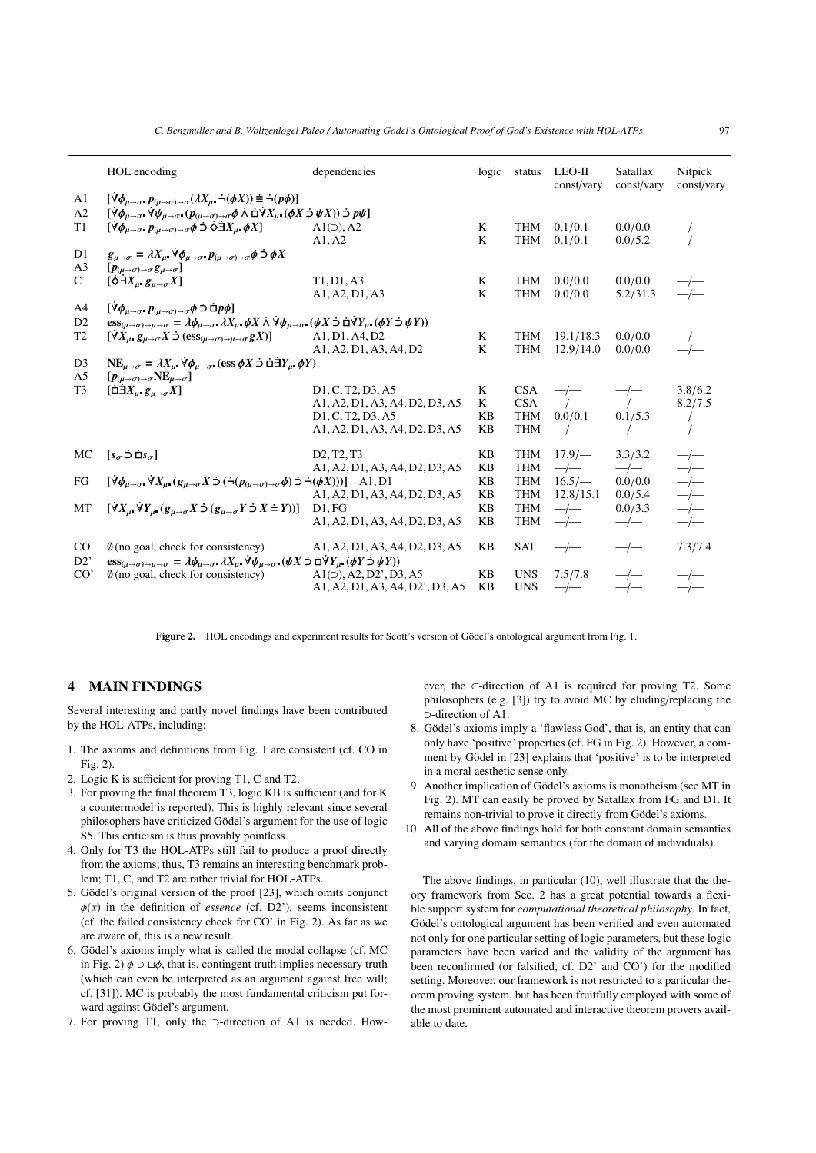|                | HOL encoding                                                                                                                                                                                                                                | dependencies                                                                                           | logic     | status                   | LEO-II                 | <b>Satallax</b>  | Nitpick                  |  |
|----------------|---------------------------------------------------------------------------------------------------------------------------------------------------------------------------------------------------------------------------------------------|--------------------------------------------------------------------------------------------------------|-----------|--------------------------|------------------------|------------------|--------------------------|--|
|                |                                                                                                                                                                                                                                             |                                                                                                        |           |                          | const/vary             | const/vary       | const/vary               |  |
| A1             | $[\forall \phi_{\mu \to \sigma} \cdot p_{(\mu \to \sigma) \to \sigma}(\lambda X_{\mu} \neg (\phi X)) \equiv \neg (p\phi)]$                                                                                                                  |                                                                                                        |           |                          |                        |                  |                          |  |
| A2             | $[\forall \phi_{\mu \to \sigma} \ \forall \psi_{\mu \to \sigma} \ (p_{(\mu \to \sigma) \to \sigma} \phi \land \exists \forall X_{\mu} \ (\phi X \exists \psi X)) \exists \ p \psi]$                                                         |                                                                                                        |           |                          |                        |                  |                          |  |
| T1             | $[\forall \phi_{\mu \to \sigma} \; p_{(\mu \to \sigma) \to \sigma} \phi \; \dot{\Rightarrow} \; \dot{\diamond} \; \exists X_{\mu} \; \phi X]$                                                                                               | $A1(5)$ , A2                                                                                           | K         | <b>THM</b>               | 0.1/0.1                | 0.0/0.0          | $-/-$                    |  |
|                |                                                                                                                                                                                                                                             | A1, A2                                                                                                 | K         | <b>THM</b>               | 0.1/0.1                | 0.0/5.2          | $-/-$                    |  |
| D1             | $g_{\mu\rightarrow\sigma} = \lambda X_{\mu} \dot{\forall} \phi_{\mu\rightarrow\sigma} p_{(\mu\rightarrow\sigma)\rightarrow\sigma} \phi \dot{\Rightarrow} \phi X$                                                                            |                                                                                                        |           |                          |                        |                  |                          |  |
| A <sub>3</sub> | $[p_{(\mu\rightarrow\sigma)\rightarrow\sigma}g_{\mu\rightarrow\sigma}]$                                                                                                                                                                     |                                                                                                        |           |                          |                        |                  |                          |  |
| $\mathcal{C}$  | $\left[\diamond\exists X_\mu\ g_{\mu\to\sigma}X\right]$                                                                                                                                                                                     | T1, D1, A3                                                                                             | K         | <b>THM</b>               | 0.0/0.0                | 0.0/0.0          | $-\!\mathord{-}$         |  |
|                |                                                                                                                                                                                                                                             | A1, A2, D1, A3                                                                                         | K         | <b>THM</b>               | 0.0/0.0                | 5.2/31.3         | $\overline{\phantom{a}}$ |  |
| A <sup>4</sup> | $[\dot{\forall}\phi_{\mu\rightarrow\sigma}\cdot p_{(\mu\rightarrow\sigma)\rightarrow\sigma}\phi\ \dot{\supset}\ \dot{\Box}\,p\phi]$                                                                                                         |                                                                                                        |           |                          |                        |                  |                          |  |
| D <sub>2</sub> | $\text{ess}_{(\mu\to\sigma)\to\mu\to\sigma}=\lambda\phi_{\mu\to\sigma^*}\lambda X_\mu\ \phi X\ \dot{\wedge}\ \dot{\forall}\psi_{\mu\to\sigma^*}(\psi X\ \dot{\supset}\ \dot{\boxplus}\dot{\forall} Y_\mu\ (\phi Y\ \dot{\supset}\ \psi Y))$ |                                                                                                        |           |                          |                        |                  |                          |  |
| T <sub>2</sub> | $[\forall X_{\mu} \cdot g_{\mu \to \sigma} X \exists (\text{ess}_{(\mu \to \sigma) \to \mu \to \sigma} g X)]$                                                                                                                               | A1, D1, A4, D2                                                                                         | K         | <b>THM</b>               | 19.1/18.3              | 0.0/0.0          | $-/-$                    |  |
|                |                                                                                                                                                                                                                                             | A1, A2, D1, A3, A4, D2                                                                                 | K         | <b>THM</b>               | 12.9/14.0              | 0.0/0.0          | $-/-$                    |  |
| D <sub>3</sub> | $N E_{\mu \to \sigma} = \lambda X_{\mu} \dot{\forall} \phi_{\mu \to \sigma}$ (ess $\phi X \dot{\exists} \dot{\Box} \dot{\Box} Y_{\mu} \phi Y$ )                                                                                             |                                                                                                        |           |                          |                        |                  |                          |  |
| A <sub>5</sub> | $[p_{(\mu \to \sigma) \to \sigma}NE_{\mu \to \sigma}]$                                                                                                                                                                                      |                                                                                                        |           |                          |                        |                  |                          |  |
| T <sub>3</sub> | $[\Box X_u, g_{u\to\sigma}X]$                                                                                                                                                                                                               | D <sub>1</sub> , C, T <sub>2</sub> , D <sub>3</sub> , A <sub>5</sub>                                   | K         | <b>CSA</b>               | $-\prime -$            | $-\prime -$      | 3.8/6.2                  |  |
|                |                                                                                                                                                                                                                                             | A1, A2, D1, A3, A4, D2, D3, A5<br>D <sub>1</sub> , C, T <sub>2</sub> , D <sub>3</sub> , A <sub>5</sub> | K<br>KB   | <b>CSA</b><br><b>THM</b> | $-\sqrt{-}$<br>0.0/0.1 | $-/-$<br>0.1/5.3 | 8.2/7.5<br>$-\sqrt{-}$   |  |
|                |                                                                                                                                                                                                                                             | A1, A2, D1, A3, A4, D2, D3, A5                                                                         | KB        | <b>THM</b>               | $-\prime-$             | $-\sqrt{-}$      | $-\prime -$              |  |
|                |                                                                                                                                                                                                                                             |                                                                                                        |           |                          |                        |                  |                          |  |
| MC             | $[s_{\sigma}\ni\mathbf{d}s_{\sigma}]$                                                                                                                                                                                                       | D <sub>2</sub> , T <sub>2</sub> , T <sub>3</sub>                                                       | KB        | <b>THM</b>               | 17.9/                  | 3.3/3.2          | $-/-$                    |  |
|                |                                                                                                                                                                                                                                             | A1, A2, D1, A3, A4, D2, D3, A5                                                                         | KB        | <b>THM</b>               | $-\prime -$            | $-\sqrt{-}$      | $-/-$                    |  |
| FG             | $[\forall \phi_{\mu \to \sigma} \ \forall X_{\mu} \ (g_{\mu \to \sigma} X \exists (\neg (p_{(\mu \to \sigma) \to \sigma} \phi) \exists \ \neg (\phi X))]$ Al, D1                                                                            |                                                                                                        | KВ        | <b>THM</b>               | $16.5/-$               | 0.0/0.0          | $-\!/\!-\!$              |  |
|                |                                                                                                                                                                                                                                             | A1, A2, D1, A3, A4, D2, D3, A5                                                                         | KB        | <b>THM</b>               | 12.8/15.1              | 0.0/5.4          | $-/-$                    |  |
| MT             | $[\forall X_{\mu} \forall Y_{\mu} (g_{\mu \to \sigma} X \exists (g_{\mu \to \sigma} Y \exists X \equiv Y))]$                                                                                                                                | D1.FG                                                                                                  | KB        | <b>THM</b>               | $-\sqrt{-}$            | 0.0/3.3          | $-\prime -$              |  |
|                |                                                                                                                                                                                                                                             | A1, A2, D1, A3, A4, D2, D3, A5                                                                         | KB        | <b>THM</b>               | $-\prime -$            | $-\sqrt{-}$      | $-/-$                    |  |
| $_{\rm CO}$    | $\emptyset$ (no goal, check for consistency)                                                                                                                                                                                                | A1, A2, D1, A3, A4, D2, D3, A5                                                                         | KB        | <b>SAT</b>               | $-\prime-$             | $-/-$            | 7.3/7.4                  |  |
| D2             | $\mathrm{ess}_{(\mu \to \sigma) \to \mu \to \sigma} = \lambda \phi_{\mu \to \sigma} \lambda X_{\mu} \ \forall \psi_{\mu \to \sigma} \ (\psi X \supset \Box \ \forall Y_{\mu} \ (\phi Y \supset \psi Y))$                                    |                                                                                                        |           |                          |                        |                  |                          |  |
| CO'            | $\emptyset$ (no goal, check for consistency)                                                                                                                                                                                                | $A1(5)$ , A2, D2', D3, A5                                                                              | KB        | <b>UNS</b>               | 7.5/7.8                | $-\sqrt{-}$      |                          |  |
|                |                                                                                                                                                                                                                                             | A1, A2, D1, A3, A4, D2', D3, A5                                                                        | <b>KB</b> | <b>UNS</b>               | $-\prime -$            |                  |                          |  |
|                |                                                                                                                                                                                                                                             |                                                                                                        |           |                          |                        |                  |                          |  |

*C. Benzmüller and B. Woltzenlogel Paleo / Automating Gödel's Ontological Proof of God's Existence with HOL-ATPs* 97

Figure 2. HOL encodings and experiment results for Scott's version of Gödel's ontological argument from Fig. 1.

# 4 MAIN FINDINGS

Several interesting and partly novel findings have been contributed by the HOL-ATPs, including:

- 1. The axioms and definitions from Fig. 1 are consistent (cf. CO in  $Fig. 2)$ .
- 2. Logic K is sufficient for proving T1, C and T2.
- 3. For proving the final theorem T3, logic KB is sufficient (and for K a countermodel is reported). This is highly relevant since several philosophers have criticized Gödel's argument for the use of logic S5. This criticism is thus provably pointless.
- 4. Only for T3 the HOL-ATPs still fail to produce a proof directly from the axioms; thus, T3 remains an interesting benchmark problem; T1, C, and T2 are rather trivial for HOL-ATPs.
- 5. Gödel's original version of the proof [23], which omits conjunct  $\phi(x)$  in the definition of *essence* (cf. D2'), seems inconsistent (cf. the failed consistency check for CO' in Fig. 2). As far as we are aware of, this is a new result.
- 6. Gödel's axioms imply what is called the modal collapse (cf. MC in Fig. 2)  $\phi \supset \Box \phi$ , that is, contingent truth implies necessary truth (which can even be interpreted as an argument against free will; cf. [31]). MC is probably the most fundamental criticism put forward against Gödel's argument.
- 7. For proving T1, only the ⊃-direction of A1 is needed. How-

ever, the ⊂-direction of A1 is required for proving T2. Some philosophers (e.g. [3]) try to avoid MC by eluding/replacing the ⊃-direction of A1.

- 8. Gödel's axioms imply a 'flawless God', that is, an entity that can only have 'positive' properties (cf. FG in Fig. 2). However, a comment by Gödel in [23] explains that 'positive' is to be interpreted in a moral aesthetic sense only.
- 9. Another implication of Gödel's axioms is monotheism (see MT in Fig. 2). MT can easily be proved by Satallax from FG and D1. It remains non-trivial to prove it directly from Gödel's axioms.
- 10. All of the above findings hold for both constant domain semantics and varying domain semantics (for the domain of individuals).

The above findings, in particular (10), well illustrate that the theory framework from Sec. 2 has a great potential towards a flexible support system for *computational theoretical philosophy*. In fact, Gödel's ontological argument has been verified and even automated not only for one particular setting of logic parameters, but these logic parameters have been varied and the validity of the argument has been reconfirmed (or falsified, cf. D2' and CO') for the modified setting. Moreover, our framework is not restricted to a particular theorem proving system, but has been fruitfully employed with some of the most prominent automated and interactive theorem provers available to date.